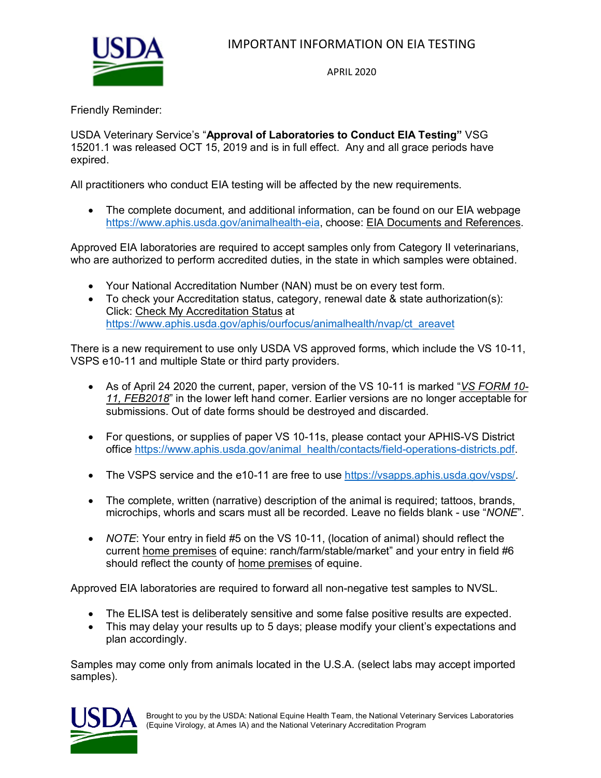

## IMPORTANT INFORMATION ON EIA TESTING

APRIL 2020

Friendly Reminder:

USDA Veterinary Service's "**Approval of Laboratories to Conduct EIA Testing"** VSG 15201.1 was released OCT 15, 2019 and is in full effect. Any and all grace periods have expired.

All practitioners who conduct EIA testing will be affected by the new requirements.

• The complete document, and additional information, can be found on our EIA webpage [https://www.aphis.usda.gov/animalhealth-eia,](https://gcc02.safelinks.protection.outlook.com/?url=https%3A%2F%2Fwww.aphis.usda.gov%2Fanimalhealth-eia&data=02%7C01%7C%7Ca3fec01f6817429f66b908d7a1e47173%7Ced5b36e701ee4ebc867ee03cfa0d4697%7C0%7C0%7C637155874831601132&sdata=w1WemkwaPQrdpI0kwbNWzyD%2BMhm7A11OR%2BctfOhoPRc%3D&reserved=0) choose: EIA Documents and References.

Approved EIA laboratories are required to accept samples only from Category II veterinarians, who are authorized to perform accredited duties, in the state in which samples were obtained.

- Your National Accreditation Number (NAN) must be on every test form.
- To check your Accreditation status, category, renewal date & state authorization(s): Click: Check My Accreditation Status at [https://www.aphis.usda.gov/aphis/ourfocus/animalhealth/nvap/ct\\_areavet](https://www.aphis.usda.gov/aphis/ourfocus/animalhealth/nvap/ct_areavet)

There is a new requirement to use only USDA VS approved forms, which include the VS 10-11, VSPS e10-11 and multiple State or third party providers.

- As of April 24 2020 the current, paper, version of the VS 10-11 is marked "*VS FORM 10- 11, FEB2018*" in the lower left hand corner. Earlier versions are no longer acceptable for submissions. Out of date forms should be destroyed and discarded.
- For questions, or supplies of paper VS 10-11s, please contact your APHIS-VS District office [https://www.aphis.usda.gov/animal\\_health/contacts/field-operations-districts.pdf.](https://gcc02.safelinks.protection.outlook.com/?url=https%3A%2F%2Fwww.aphis.usda.gov%2Fanimal_health%2Fcontacts%2Ffield-operations-districts.pdf&data=02%7C01%7C%7Cdbfa87e23bf2495f740608d738792b5f%7Ced5b36e701ee4ebc867ee03cfa0d4697%7C0%7C0%7C637039965380196351&sdata=XwEebo1xenro%2B3yLlc5Mh9DJOab5Zs%2FZKfF1%2BXSoZNY%3D&reserved=0)
- The VSPS service and the e10-11 are free to use [https://vsapps.aphis.usda.gov/vsps/.](https://vsapps.aphis.usda.gov/vsps/)
- The complete, written (narrative) description of the animal is required; tattoos, brands, microchips, whorls and scars must all be recorded. Leave no fields blank - use "*NONE*".
- *NOTE*: Your entry in field #5 on the VS 10-11, (location of animal) should reflect the current home premises of equine: ranch/farm/stable/market" and your entry in field #6 should reflect the county of home premises of equine.

Approved EIA laboratories are required to forward all non-negative test samples to NVSL.

- The ELISA test is deliberately sensitive and some false positive results are expected.
- This may delay your results up to 5 days; please modify your client's expectations and plan accordingly.

Samples may come only from animals located in the U.S.A. (select labs may accept imported samples).